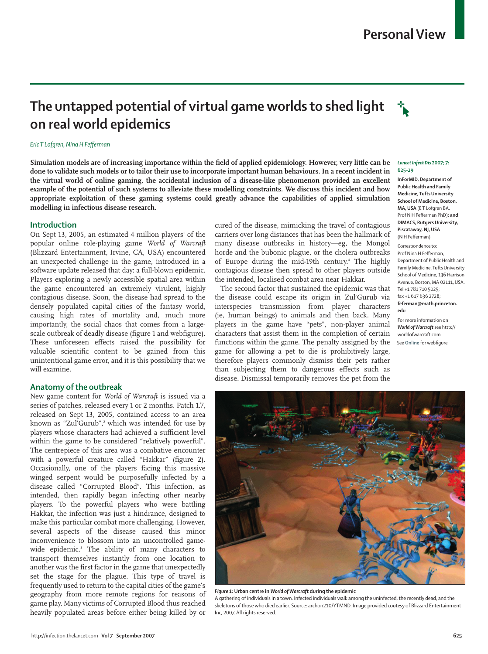# **Personal View**

# **The untapped potential of virtual game worlds to shed light on real world epidemics**

### *Eric T Lofgren, Nina H Fefferman*

Simulation models are of increasing importance within the field of applied epidemiology. However, very little can be **done to validate such models or to tailor their use to incorporate important human behaviours. In a recent incident in the virtual world of online gaming, the accidental inclusion of a disease-like phenomenon provided an excellent example of the potential of such systems to alleviate these modelling constraints. We discuss this incident and how appropriate exploitation of these gaming systems could greatly advance the capabilities of applied simulation modelling in infectious disease research.**

### **Introduction**

On Sept 13, 2005, an estimated 4 million players<sup>1</sup> of the popular online role-playing game *World of Warcraft* (Blizzard Entertainment, Irvine, CA, USA) encountered an unexpected challenge in the game, introduced in a software update released that day: a full-blown epidemic. Players exploring a newly accessible spatial area within the game encountered an extremely virulent, highly contagious disease. Soon, the disease had spread to the densely populated capital cities of the fantasy world, causing high rates of mortality and, much more importantly, the social chaos that comes from a largescale outbreak of deadly disease (figure 1 and webfigure). These unforeseen effects raised the possibility for valuable scientific content to be gained from this unintentional game error, and it is this possibility that we will examine.

#### **Anatomy of the outbreak**

New game content for *World of Warcraft* is issued via a series of patches, released every 1 or 2 months. Patch 1.7, released on Sept 13, 2005, contained access to an area known as "Zul'Gurub",<sup>2</sup> which was intended for use by players whose characters had achieved a sufficient level within the game to be considered "relatively powerful". The centrepiece of this area was a combative encounter with a powerful creature called "Hakkar" (figure 2). Occasionally, one of the players facing this massive winged serpent would be purposefully infected by a disease called "Corrupted Blood". This infection, as intended, then rapidly began infecting other nearby players. To the powerful players who were battling Hakkar, the infection was just a hindrance, designed to make this particular combat more challenging. However, several aspects of the disease caused this minor inconvenience to blossom into an uncontrolled gamewide epidemic.3 The ability of many characters to transport themselves instantly from one location to another was the first factor in the game that unexpectedly set the stage for the plague. This type of travel is frequently used to return to the capital cities of the game's geography from more remote regions for reasons of game play. Many victims of Corrupted Blood thus reached heavily populated areas before either being killed by or

cured of the disease, mimicking the travel of contagious carriers over long distances that has been the hallmark of many disease outbreaks in history—eg, the Mongol horde and the bubonic plague, or the cholera outbreaks of Europe during the mid-19th century.4 The highly contagious disease then spread to other players outside the intended, localised combat area near Hakkar.

The second factor that sustained the epidemic was that the disease could escape its origin in Zul'Gurub via interspecies transmission from player characters (ie, human beings) to animals and then back. Many players in the game have "pets", non-player animal characters that assist them in the completion of certain functions within the game. The penalty assigned by the game for allowing a pet to die is prohibitively large, therefore players commonly dismiss their pets rather than subjecting them to dangerous effects such as disease. Dismissal temporarily removes the pet from the



**InForMID, Department of Public Health and Family Medicine, Tufts University School of Medicine, Boston, MA, USA** (ET Lofaren BA, Prof N H Fefferman PhD); and **DIMACS, Rutgers University, Piscataway, NJ, USA** (N H Fefferman)

Correspondence to:

Prof Nina H Fefferman, Department of Public Health and Family Medicine, Tufts University School of Medicine, 136 Harrison Avenue, Boston, MA 02111, USA. Tel +1 781 710 5025; fax +1 617 636 2728; **feferman@math.princeton. edu**

For more information on *World of Warcraft* see http:// worldofwarcraft.com See Online for webfiqure



*Figure 1:* **Urban centre in** *World of Warcraft* **during the epidemic**

A gathering of individuals in a town. Infected individuals walk among the uninfected, the recently dead, and the skeletons of those who died earlier. Source: archon210/YTMND. Image provided coutesy of Blizzard Entertainment Inc, 2007. All rights reserved.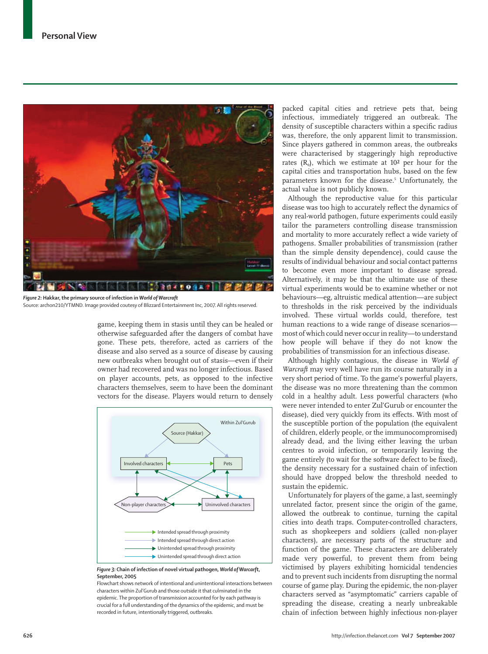

*Figure 2:* **Hakkar, the primary source of infection in** *World of Warcraft* Source: archon210/YTMND. Image provided coutesy of Blizzard Entertainment Inc, 2007. All rights reserved.

game, keeping them in stasis until they can be healed or otherwise safeguarded after the dangers of combat have gone. These pets, therefore, acted as carriers of the disease and also served as a source of disease by causing new outbreaks when brought out of stasis—even if their owner had recovered and was no longer infectious. Based on player accounts, pets, as opposed to the infective characters themselves, seem to have been the dominant vectors for the disease. Players would return to densely



*Figure 3:* **Chain of infection of novel virtual pathogen,** *World of Warcarft***, September, 2005**

Flowchart shows network of intentional and unintentional interactions between characters within Zul'Gurub and those outside it that culminated in the epidemic. The proportion of transmission accounted for by each pathway is crucial for a full understanding of the dynamics of the epidemic, and must be recorded in future, intentionally triggered, outbreaks.

packed capital cities and retrieve pets that, being infectious, immediately triggered an outbreak. The density of susceptible characters within a specific radius was, therefore, the only apparent limit to transmission. Since players gathered in common areas, the outbreaks were characterised by staggeringly high reproductive rates  $(R_0)$ , which we estimate at 10<sup>2</sup> per hour for the capital cities and transportation hubs, based on the few parameters known for the disease.<sup>5</sup> Unfortunately, the actual value is not publicly known.

Although the reproductive value for this particular disease was too high to accurately reflect the dynamics of any real-world pathogen, future experiments could easily tailor the parameters controlling disease transmission and mortality to more accurately reflect a wide variety of pathogens. Smaller probabilities of transmission (rather than the simple density dependence), could cause the results of individual behaviour and social contact patterns to become even more important to disease spread. Alternatively, it may be that the ultimate use of these virtual experiments would be to examine whether or not behaviours—eg, altruistic medical attention—are subject to thresholds in the risk perceived by the individuals involved. These virtual worlds could, therefore, test human reactions to a wide range of disease scenarios most of which could never occur in reality—to understand how people will behave if they do not know the probabilities of transmission for an infectious disease.

Although highly contagious, the disease in *World of Warcraft* may very well have run its course naturally in a very short period of time. To the game's powerful players, the disease was no more threatening than the common cold in a healthy adult. Less powerful characters (who were never intended to enter Zul'Gurub or encounter the disease), died very quickly from its effects. With most of the susceptible portion of the population (the equivalent of children, elderly people, or the immunocompromised) already dead, and the living either leaving the urban centres to avoid infection, or temporarily leaving the game entirely (to wait for the software defect to be fixed), the density necessary for a sustained chain of infection should have dropped below the threshold needed to sustain the epidemic.

Unfortunately for players of the game, a last, seemingly unrelated factor, present since the origin of the game, allowed the outbreak to continue, turning the capital cities into death traps. Computer-controlled characters, such as shopkeepers and soldiers (called non-player characters), are necessary parts of the structure and function of the game. These characters are deliberately made very powerful, to prevent them from being victimised by players exhibiting homicidal tendencies and to prevent such incidents from disrupting the normal course of game play. During the epidemic, the non-player characters served as "asymptomatic" carriers capable of spreading the disease, creating a nearly unbreakable chain of infection between highly infectious non-player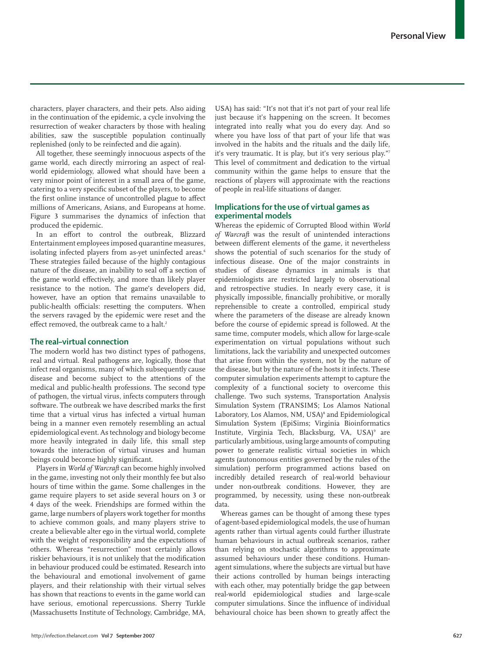characters, player characters, and their pets. Also aiding in the continuation of the epidemic, a cycle involving the resurrection of weaker characters by those with healing abilities, saw the susceptible population continually replenished (only to be reinfected and die again).

All together, these seemingly innocuous aspects of the game world, each directly mirroring an aspect of realworld epidemiology, allowed what should have been a very minor point of interest in a small area of the game, catering to a very specific subset of the players, to become the first online instance of uncontrolled plague to affect millions of Americans, Asians, and Europeans at home. Figure 3 summarises the dynamics of infection that produced the epidemic.

In an effort to control the outbreak, Blizzard Entertainment employees imposed quarantine measures, isolating infected players from as-yet uninfected areas.<sup>6</sup> These strategies failed because of the highly contagious nature of the disease, an inability to seal off a section of the game world effectively, and more than likely player resistance to the notion. The game's developers did, however, have an option that remains unavailable to public-health officials: resetting the computers. When the servers ravaged by the epidemic were reset and the effect removed, the outbreak came to a halt.<sup>2</sup>

### **The real–virtual connection**

The modern world has two distinct types of pathogens, real and virtual. Real pathogens are, logically, those that infect real organisms, many of which subsequently cause disease and become subject to the attentions of the medical and public-health professions. The second type of pathogen, the virtual virus, infects computers through software. The outbreak we have described marks the first time that a virtual virus has infected a virtual human being in a manner even remotely resembling an actual epidemiological event. As technology and biology become more heavily integrated in daily life, this small step towards the interaction of virtual viruses and human beings could become highly significant.

Players in *World of Warcraft* can become highly involved in the game, investing not only their monthly fee but also hours of time within the game. Some challenges in the game require players to set aside several hours on 3 or 4 days of the week. Friendships are formed within the game, large numbers of players work together for months to achieve common goals, and many players strive to create a believable alter ego in the virtual world, complete with the weight of responsibility and the expectations of others. Whereas "resurrection" most certainly allows riskier behaviours, it is not unlikely that the modification in behaviour produced could be estimated. Research into the behavioural and emotional involvement of game players, and their relationship with their virtual selves has shown that reactions to events in the game world can have serious, emotional repercussions. Sherry Turkle (Massachusetts Institute of Technology, Cambridge, MA, USA) has said: "It's not that it's not part of your real life just because it's happening on the screen. It becomes integrated into really what you do every day. And so where you have loss of that part of your life that was involved in the habits and the rituals and the daily life, it's very traumatic. It is play, but it's very serious play."7 This level of commitment and dedication to the virtual community within the game helps to ensure that the reactions of players will approximate with the reactions of people in real-life situations of danger.

## **Implications for the use of virtual games as experimental models**

Whereas the epidemic of Corrupted Blood within *World of Warcraft* was the result of unintended interactions between different elements of the game, it nevertheless shows the potential of such scenarios for the study of infectious disease. One of the major constraints in studies of disease dynamics in animals is that epidemiologists are restricted largely to observational and retrospective studies. In nearly every case, it is physically impossible, financially prohibitive, or morally reprehensible to create a controlled, empirical study where the parameters of the disease are already known before the course of epidemic spread is followed. At the same time, computer models, which allow for large-scale experimentation on virtual populations without such limitations, lack the variability and unexpected outcomes that arise from within the system, not by the nature of the disease, but by the nature of the hosts it infects. These computer simulation experiments attempt to capture the complexity of a functional society to overcome this challenge. Two such systems, Transportation Analysis Simulation System (TRANSIMS; Los Alamos National Laboratory, Los Alamos, NM, USA)<sup>8</sup> and Epidemiological Simulation System (EpiSims; Virginia Bioinformatics Institute, Virginia Tech, Blacksburg, VA, USA)<sup>9</sup> are particularly ambitious, using large amounts of computing power to generate realistic virtual societies in which agents (autonomous entities governed by the rules of the simulation) perform programmed actions based on incredibly detailed research of real-world behaviour under non-outbreak conditions. However, they are programmed, by necessity, using these non-outbreak data.

Whereas games can be thought of among these types of agent-based epidemiological models, the use of human agents rather than virtual agents could further illustrate human behaviours in actual outbreak scenarios, rather than relying on stochastic algorithms to approximate assumed behaviours under these conditions. Humanagent simulations, where the subjects are virtual but have their actions controlled by human beings interacting with each other, may potentially bridge the gap between real-world epidemiological studies and large-scale computer simulations. Since the influence of individual behavioural choice has been shown to greatly affect the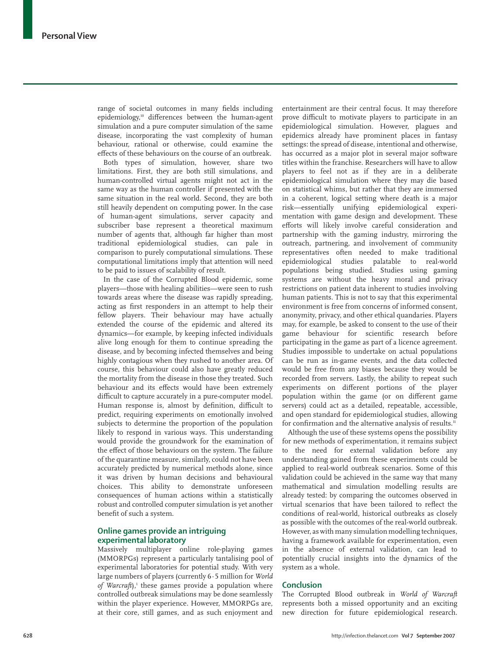range of societal outcomes in many fields including epidemiology,<sup>10</sup> differences between the human-agent simulation and a pure computer simulation of the same disease, incorporating the vast complexity of human behaviour, rational or otherwise, could examine the effects of these behaviours on the course of an outbreak.

Both types of simulation, however, share two limitations. First, they are both still simulations, and human-controlled virtual agents might not act in the same way as the human controller if presented with the same situation in the real world. Second, they are both still heavily dependent on computing power. In the case of human-agent simulations, server capacity and subscriber base represent a theoretical maximum number of agents that, although far higher than most traditional epidemiological studies, can pale in comparison to purely computational simulations. These computational limitations imply that attention will need to be paid to issues of scalability of result.

In the case of the Corrupted Blood epidemic, some players—those with healing abilities—were seen to rush towards areas where the disease was rapidly spreading, acting as first responders in an attempt to help their fellow players. Their behaviour may have actually extended the course of the epidemic and altered its dynamics—for example, by keeping infected individuals alive long enough for them to continue spreading the disease, and by becoming infected themselves and being highly contagious when they rushed to another area. Of course, this behaviour could also have greatly reduced the mortality from the disease in those they treated. Such behaviour and its effects would have been extremely difficult to capture accurately in a pure-computer model. Human response is, almost by definition, difficult to predict, requiring experiments on emotionally involved subjects to determine the proportion of the population likely to respond in various ways. This understanding would provide the groundwork for the examination of the effect of those behaviours on the system. The failure of the quarantine measure, similarly, could not have been accurately predicted by numerical methods alone, since it was driven by human decisions and behavioural choices. This ability to demonstrate unforeseen consequences of human actions within a statistically robust and controlled computer simulation is yet another benefit of such a system.

#### **Online games provide an intriguing experimental laboratory**

Massively multiplayer online role-playing games (MMORPGs) represent a particularly tantalising pool of experimental laboratories for potential study. With very large numbers of players (currently 6·5 million for *World*  of Warcraft),<sup>1</sup> these games provide a population where controlled outbreak simulations may be done seamlessly within the player experience. However, MMORPGs are, at their core, still games, and as such enjoyment and

entertainment are their central focus. It may therefore prove difficult to motivate players to participate in an epidemiological simulation. However, plagues and epidemics already have prominent places in fantasy settings: the spread of disease, intentional and otherwise, has occurred as a major plot in several major software titles within the franchise. Researchers will have to allow players to feel not as if they are in a deliberate epidemiological simulation where they may die based on statistical whims, but rather that they are immersed in a coherent, logical setting where death is a major risk—essentially unifying epidemiological experimentation with game design and development. These efforts will likely involve careful consideration and partnership with the gaming industry, mirroring the outreach, partnering, and involvement of community representatives often needed to make traditional epidemiological studies palatable to real-world populations being studied. Studies using gaming systems are without the heavy moral and privacy restrictions on patient data inherent to studies involving human patients. This is not to say that this experimental environment is free from concerns of informed consent, anonymity, privacy, and other ethical quandaries. Players may, for example, be asked to consent to the use of their game behaviour for scientific research before participating in the game as part of a licence agreement. Studies impossible to undertake on actual populations can be run as in-game events, and the data collected would be free from any biases because they would be recorded from servers. Lastly, the ability to repeat such experiments on different portions of the player population within the game (or on different game servers) could act as a detailed, repeatable, accessible, and open standard for epidemiological studies, allowing for confirmation and the alternative analysis of results. $11$ 

Although the use of these systems opens the possibility for new methods of experimentation, it remains subject to the need for external validation before any understanding gained from these experiments could be applied to real-world outbreak scenarios. Some of this validation could be achieved in the same way that many mathematical and simulation modelling results are already tested: by comparing the outcomes observed in virtual scenarios that have been tailored to reflect the conditions of real-world, historical outbreaks as closely as possible with the outcomes of the real-world outbreak. However, as with many simulation modelling techniques, having a framework available for experimentation, even in the absence of external validation, can lead to potentially crucial insights into the dynamics of the system as a whole.

### **Conclusion**

The Corrupted Blood outbreak in *World of Warcraft* represents both a missed opportunity and an exciting new direction for future epidemiological research.